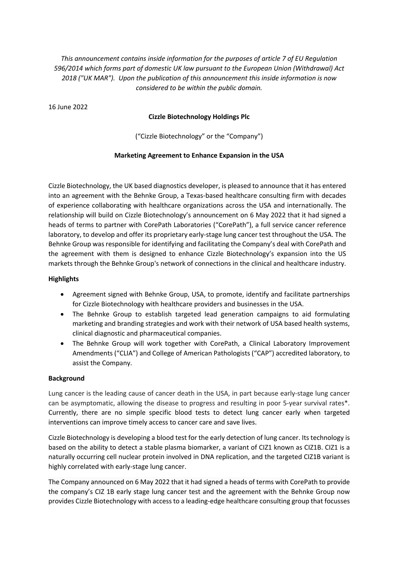*This announcement contains inside information for the purposes of article 7 of EU Regulation 596/2014 which forms part of domestic UK law pursuant to the European Union (Withdrawal) Act 2018 ("UK MAR"). Upon the publication of this announcement this inside information is now considered to be within the public domain.*

16 June 2022

### **Cizzle Biotechnology Holdings Plc**

("Cizzle Biotechnology" or the "Company")

### **Marketing Agreement to Enhance Expansion in the USA**

Cizzle Biotechnology, the UK based diagnostics developer, is pleased to announce that it has entered into an agreement with the Behnke Group, a Texas-based healthcare consulting firm with decades of experience collaborating with healthcare organizations across the USA and internationally. The relationship will build on Cizzle Biotechnology's announcement on 6 May 2022 that it had signed a heads of terms to partner with CorePath Laboratories ("CorePath"), a full service cancer reference laboratory, to develop and offer its proprietary early-stage lung cancer test throughout the USA. The Behnke Group was responsible for identifying and facilitating the Company's deal with CorePath and the agreement with them is designed to enhance Cizzle Biotechnology's expansion into the US markets through the Behnke Group's network of connections in the clinical and healthcare industry.

## **Highlights**

- Agreement signed with Behnke Group, USA, to promote, identify and facilitate partnerships for Cizzle Biotechnology with healthcare providers and businesses in the USA.
- The Behnke Group to establish targeted lead generation campaigns to aid formulating marketing and branding strategies and work with their network of USA based health systems, clinical diagnostic and pharmaceutical companies.
- The Behnke Group will work together with CorePath, a Clinical Laboratory Improvement Amendments ("CLIA") and College of American Pathologists ("CAP") accredited laboratory, to assist the Company.

### **Background**

Lung cancer is the leading cause of cancer death in the USA, in part because early-stage lung cancer can be asymptomatic, allowing the disease to progress and resulting in poor 5-year survival rates\*. Currently, there are no simple specific blood tests to detect lung cancer early when targeted interventions can improve timely access to cancer care and save lives.

Cizzle Biotechnology is developing a blood test for the early detection of lung cancer. Its technology is based on the ability to detect a stable plasma biomarker, a variant of CIZ1 known as CIZ1B. CIZ1 is a naturally occurring cell nuclear protein involved in DNA replication, and the targeted CIZ1B variant is highly correlated with early-stage lung cancer.

The Company announced on 6 May 2022 that it had signed a heads of terms with CorePath to provide the company's CIZ 1B early stage lung cancer test and the agreement with the Behnke Group now provides Cizzle Biotechnology with access to a leading-edge healthcare consulting group that focusses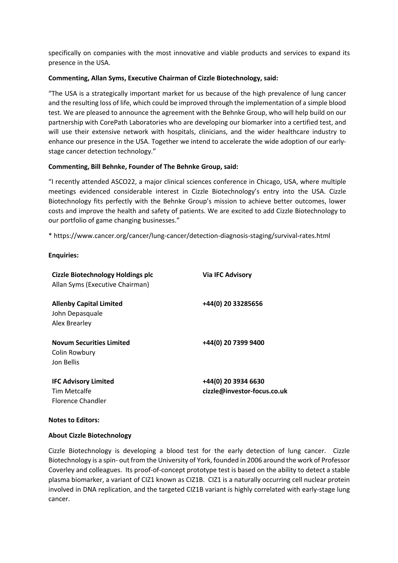specifically on companies with the most innovative and viable products and services to expand its presence in the USA.

## **Commenting, Allan Syms, Executive Chairman of Cizzle Biotechnology, said:**

"The USA is a strategically important market for us because of the high prevalence of lung cancer and the resulting loss of life, which could be improved through the implementation of a simple blood test. We are pleased to announce the agreement with the Behnke Group, who will help build on our partnership with CorePath Laboratories who are developing our biomarker into a certified test, and will use their extensive network with hospitals, clinicians, and the wider healthcare industry to enhance our presence in the USA. Together we intend to accelerate the wide adoption of our earlystage cancer detection technology."

# **Commenting, Bill Behnke, Founder of The Behnke Group, said:**

"I recently attended ASCO22, a major clinical sciences conference in Chicago, USA, where multiple meetings evidenced considerable interest in Cizzle Biotechnology's entry into the USA. Cizzle Biotechnology fits perfectly with the Behnke Group's mission to achieve better outcomes, lower costs and improve the health and safety of patients. We are excited to add Cizzle Biotechnology to our portfolio of game changing businesses."

\* https://www.cancer.org/cancer/lung-cancer/detection-diagnosis-staging/survival-rates.html

**Enquiries:**

| <b>Cizzle Biotechnology Holdings plc</b><br>Allan Syms (Executive Chairman) | <b>Via IFC Advisory</b>                            |
|-----------------------------------------------------------------------------|----------------------------------------------------|
| <b>Allenby Capital Limited</b><br>John Depasquale<br>Alex Brearley          | +44(0) 20 33285656                                 |
| <b>Novum Securities Limited</b><br>Colin Rowbury<br>Jon Bellis              | +44(0) 20 7399 9400                                |
| <b>IFC Advisory Limited</b><br>Tim Metcalfe<br>Florence Chandler            | +44(0) 20 3934 6630<br>cizzle@investor-focus.co.uk |

### **Notes to Editors:**

### **About Cizzle Biotechnology**

Cizzle Biotechnology is developing a blood test for the early detection of lung cancer. Cizzle Biotechnology is a spin- out from the University of York, founded in 2006 around the work of Professor Coverley and colleagues. Its proof-of-concept prototype test is based on the ability to detect a stable plasma biomarker, a variant of CIZ1 known as CIZ1B. CIZ1 is a naturally occurring cell nuclear protein involved in DNA replication, and the targeted CIZ1B variant is highly correlated with early-stage lung cancer.